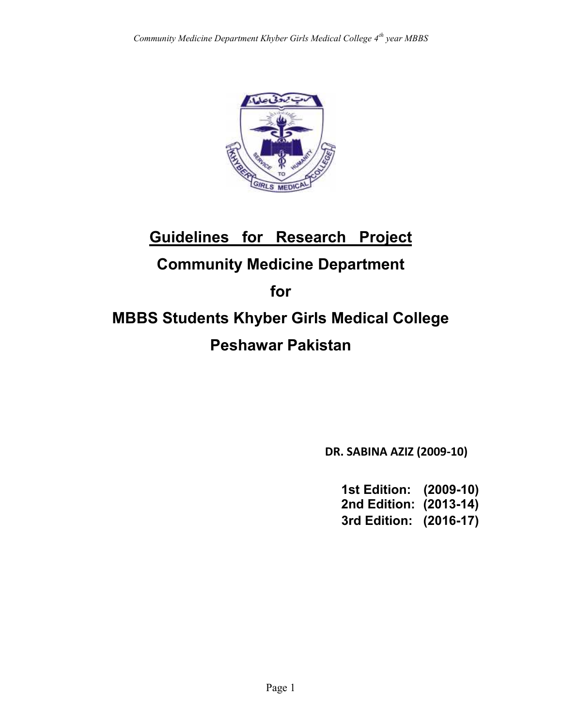

# **Community Medicine Department**<br>**Community Medicine Department**

**for**

## **MBBS Students Khyber Girls Medical College Peshawar Pakistan**

**DR. SABINA AZIZ (2009-10)**

**1st Edition: (2009-10)** 2009-10)<br>**1st Edition: (2009-10)<br>2nd Edition: (2013-14)<br>3rd Edition: (2016-17) 3rd Edition: (2016-17)**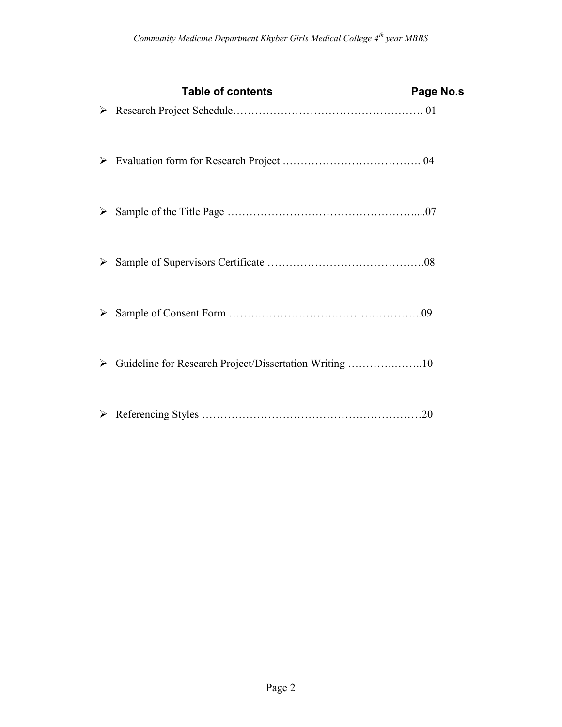|   | <b>Table of contents</b>                               | Page No.s |
|---|--------------------------------------------------------|-----------|
| ➤ |                                                        |           |
| ➤ |                                                        |           |
| ➤ |                                                        |           |
| ➤ |                                                        |           |
| ➤ |                                                        |           |
| ➤ | Guideline for Research Project/Dissertation Writing 10 |           |
| ➤ |                                                        |           |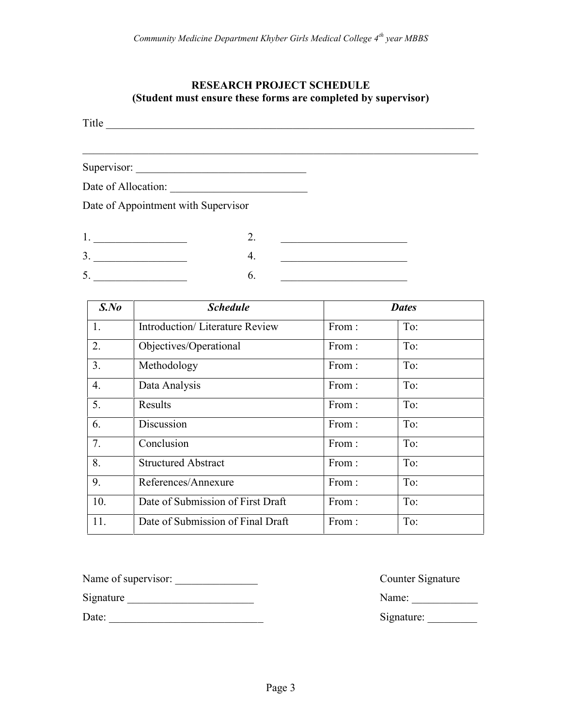#### **RESEARCH PROJECT SCHEDULE (Student must ensure these forms are completed by supervisor)**

 $\_$  , and the set of the set of the set of the set of the set of the set of the set of the set of the set of the set of the set of the set of the set of the set of the set of the set of the set of the set of the set of th

Title \_\_\_\_\_\_\_\_\_\_\_\_\_\_\_\_\_\_\_\_\_\_\_\_\_\_\_\_\_\_\_\_\_\_\_\_\_\_\_\_\_\_\_\_\_\_\_\_\_\_\_\_\_\_\_\_\_\_\_\_\_\_\_\_\_\_\_

Supervisor: \_\_\_\_\_\_\_\_\_\_\_\_\_\_\_\_\_\_\_\_\_\_\_\_\_\_\_\_\_\_\_

Date of Allocation: \_\_\_\_\_\_\_\_\_\_\_\_\_\_\_\_\_\_\_\_\_\_\_\_\_

Date of Appointment with Supervisor

| $S$ .No          | <b>Schedule</b>                       |       | <b>Dates</b> |
|------------------|---------------------------------------|-------|--------------|
| 1.               | <b>Introduction/Literature Review</b> | From: | To:          |
| 2.               | Objectives/Operational                | From: | To:          |
| 3.               | Methodology                           | From: | To:          |
| $\overline{4}$ . | Data Analysis                         | From: | To:          |
| 5.               | Results                               | From: | To:          |
| 6.               | Discussion                            | From: | To:          |
| 7.               | Conclusion                            | From: | To:          |
| 8.               | <b>Structured Abstract</b>            | From: | To:          |
| 9.               | References/Annexure                   | From: | To:          |
| 10.              | Date of Submission of First Draft     | From: | To:          |
| 11.              | Date of Submission of Final Draft     | From: | To:          |

Name of supervisor: \_\_\_\_\_\_\_\_\_\_\_\_\_\_\_ Counter Signature

Signature \_\_\_\_\_\_\_\_\_\_\_\_\_\_\_\_\_\_\_\_\_\_\_ Name: \_\_\_\_\_\_\_\_\_\_\_\_

Date: \_\_\_\_\_\_\_\_\_\_\_\_\_\_\_\_\_\_\_\_\_\_\_\_\_\_\_\_ Signature: \_\_\_\_\_\_\_\_\_

| Counter Signature |  |
|-------------------|--|
| Name:             |  |
| Sionature:        |  |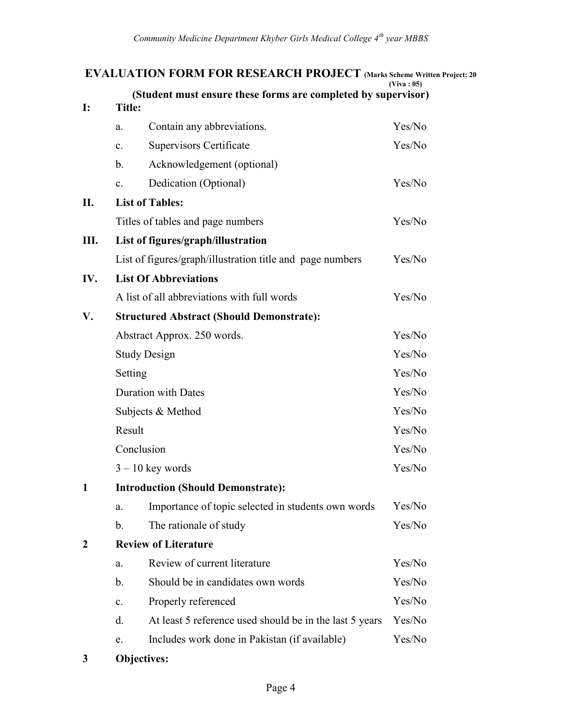## **EVALUATION FORM FOR RESEARCH PROJECT (Marks Scheme Written Project: 20**

#### **(Viva : 05) (Student must ensure these forms are completed by supervisor)**

| <b>I:</b>        | <b>Title:</b>                                    |                                                           |        |  |  |  |
|------------------|--------------------------------------------------|-----------------------------------------------------------|--------|--|--|--|
|                  | a.                                               | Contain any abbreviations.                                | Yes/No |  |  |  |
|                  | $\mathbf{c}$ .                                   | <b>Supervisors Certificate</b>                            | Yes/No |  |  |  |
|                  | $\mathbf b$ .                                    | Acknowledgement (optional)                                |        |  |  |  |
|                  | $\mathbf{c}$ .                                   | Dedication (Optional)                                     | Yes/No |  |  |  |
| П.               |                                                  | <b>List of Tables:</b>                                    |        |  |  |  |
|                  |                                                  | Titles of tables and page numbers                         | Yes/No |  |  |  |
| Ш.               |                                                  | List of figures/graph/illustration                        |        |  |  |  |
|                  |                                                  | List of figures/graph/illustration title and page numbers | Yes/No |  |  |  |
| IV.              |                                                  | <b>List Of Abbreviations</b>                              |        |  |  |  |
|                  |                                                  | A list of all abbreviations with full words               | Yes/No |  |  |  |
| V.               | <b>Structured Abstract (Should Demonstrate):</b> |                                                           |        |  |  |  |
|                  |                                                  | Abstract Approx. 250 words.                               | Yes/No |  |  |  |
|                  |                                                  | <b>Study Design</b>                                       | Yes/No |  |  |  |
|                  | Setting                                          |                                                           | Yes/No |  |  |  |
|                  |                                                  | <b>Duration with Dates</b>                                | Yes/No |  |  |  |
|                  | Subjects & Method                                |                                                           | Yes/No |  |  |  |
|                  | Result                                           |                                                           | Yes/No |  |  |  |
|                  |                                                  | Conclusion                                                | Yes/No |  |  |  |
|                  |                                                  | $3 - 10$ key words                                        | Yes/No |  |  |  |
| $\mathbf{1}$     |                                                  | <b>Introduction (Should Demonstrate):</b>                 |        |  |  |  |
|                  | a.                                               | Importance of topic selected in students own words        | Yes/No |  |  |  |
|                  | $\mathbf{b}$ .                                   | The rationale of study                                    | Yes/No |  |  |  |
| $\boldsymbol{2}$ | <b>Review of Literature</b>                      |                                                           |        |  |  |  |
|                  | a.                                               | Review of current literature                              | Yes/No |  |  |  |
|                  | $\mathbf{b}$ .                                   | Should be in candidates own words                         | Yes/No |  |  |  |
|                  | $\mathbf{c}$ .                                   | Properly referenced                                       | Yes/No |  |  |  |
|                  | d.                                               | At least 5 reference used should be in the last 5 years   | Yes/No |  |  |  |
|                  | e.                                               | Includes work done in Pakistan (if available)             | Yes/No |  |  |  |
|                  |                                                  |                                                           |        |  |  |  |

**3 Objectives:**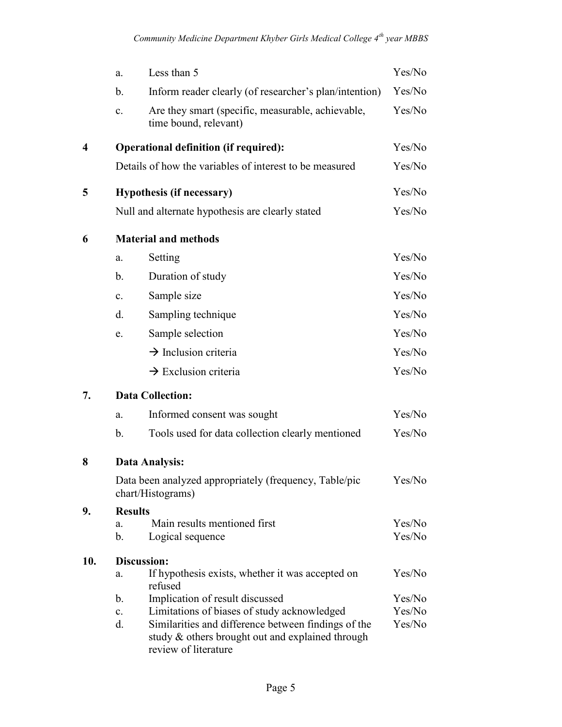|     | a.                   | Less than 5                                                                                                                                                                    | Yes/No           |
|-----|----------------------|--------------------------------------------------------------------------------------------------------------------------------------------------------------------------------|------------------|
|     | b.                   | Inform reader clearly (of researcher's plan/intention)                                                                                                                         | Yes/No           |
|     | $\mathbf{c}$ .       | Are they smart (specific, measurable, achievable,<br>time bound, relevant)                                                                                                     | Yes/No           |
| 4   |                      | <b>Operational definition (if required):</b>                                                                                                                                   | Yes/No           |
|     |                      | Details of how the variables of interest to be measured                                                                                                                        | Yes/No           |
| 5   |                      | <b>Hypothesis (if necessary)</b>                                                                                                                                               | Yes/No           |
|     |                      | Null and alternate hypothesis are clearly stated                                                                                                                               | Yes/No           |
| 6   |                      | <b>Material and methods</b>                                                                                                                                                    |                  |
|     | a.                   | Setting                                                                                                                                                                        | Yes/No           |
|     | b.                   | Duration of study                                                                                                                                                              | Yes/No           |
|     | $\mathbf{c}$ .       | Sample size                                                                                                                                                                    | Yes/No           |
|     | d.                   | Sampling technique                                                                                                                                                             | Yes/No           |
|     | e.                   | Sample selection                                                                                                                                                               | Yes/No           |
|     |                      | $\rightarrow$ Inclusion criteria                                                                                                                                               | Yes/No           |
|     |                      | $\rightarrow$ Exclusion criteria                                                                                                                                               | Yes/No           |
| 7.  |                      | <b>Data Collection:</b>                                                                                                                                                        |                  |
|     | a.                   | Informed consent was sought                                                                                                                                                    | Yes/No           |
|     | b.                   | Tools used for data collection clearly mentioned                                                                                                                               | Yes/No           |
| 8   |                      | Data Analysis:                                                                                                                                                                 |                  |
|     |                      | Data been analyzed appropriately (frequency, Table/pic<br>chart/Histograms)                                                                                                    | Yes/No           |
| 9.  | <b>Results</b>       |                                                                                                                                                                                |                  |
|     | a.<br>b.             | Main results mentioned first<br>Logical sequence                                                                                                                               | Yes/No<br>Yes/No |
|     |                      |                                                                                                                                                                                |                  |
| 10. | a.                   | Discussion:<br>If hypothesis exists, whether it was accepted on<br>refused                                                                                                     | Yes/No           |
|     | b.                   | Implication of result discussed                                                                                                                                                | Yes/No           |
|     | $\mathbf{c}$ .<br>d. | Limitations of biases of study acknowledged<br>Similarities and difference between findings of the<br>study & others brought out and explained through<br>review of literature | Yes/No<br>Yes/No |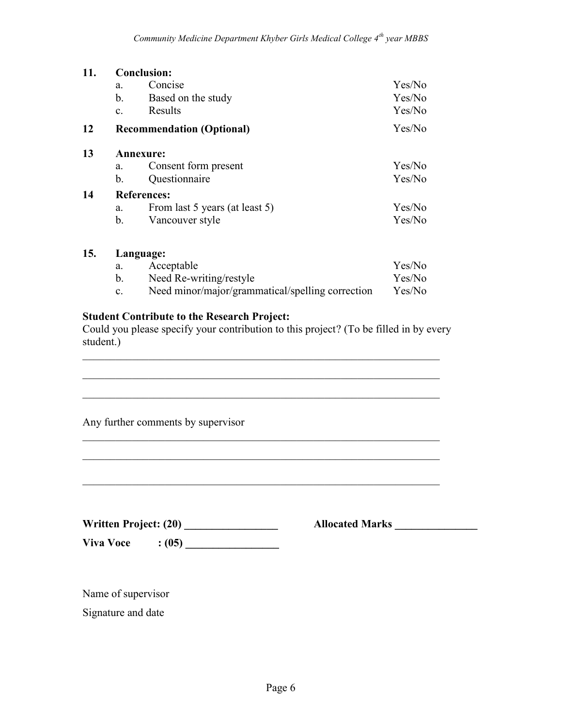| 11. | <b>Conclusion:</b> |                                  |        |  |
|-----|--------------------|----------------------------------|--------|--|
|     | a.                 | Concise                          | Yes/No |  |
|     | b.                 | Based on the study               | Yes/No |  |
|     | $\mathbf{c}$ .     | Results                          | Yes/No |  |
| 12  |                    | <b>Recommendation (Optional)</b> | Yes/No |  |
| 13  |                    | Annexure:                        |        |  |
|     | a.                 | Consent form present             | Yes/No |  |
|     | b.                 | Questionnaire                    | Yes/No |  |
| 14  |                    | <b>References:</b>               |        |  |
|     | a.                 | From last 5 years (at least 5)   | Yes/No |  |
|     | b.                 | Vancouver style                  | Yes/No |  |
|     |                    |                                  |        |  |

#### **15. Language:**

|  | Acceptable                                       | Yes/No |  |
|--|--------------------------------------------------|--------|--|
|  | Need Re-writing/restyle                          | Yes/No |  |
|  | Need minor/major/grammatical/spelling correction | Yes/No |  |

#### **Student Contribute to the Research Project:**

Could you please specify your contribution to this project? (To be filled in by every student.)

 $\mathcal{L}_\text{max}$  , and the contribution of the contribution of the contribution of the contribution of the contribution of the contribution of the contribution of the contribution of the contribution of the contribution of t

 $\mathcal{L}_\text{max}$  , and the contribution of the contribution of the contribution of the contribution of the contribution of the contribution of the contribution of the contribution of the contribution of the contribution of t

 $\mathcal{L}_\text{max}$  , and the contribution of the contribution of the contribution of the contribution of the contribution of the contribution of the contribution of the contribution of the contribution of the contribution of t

 $\mathcal{L}_\text{max}$  , and the contribution of the contribution of the contribution of the contribution of the contribution of the contribution of the contribution of the contribution of the contribution of the contribution of t

 $\mathcal{L}_\text{max}$  , and the contribution of the contribution of the contribution of the contribution of the contribution of the contribution of the contribution of the contribution of the contribution of the contribution of t

 $\mathcal{L}_\text{max}$  , and the contribution of the contribution of the contribution of the contribution of the contribution of the contribution of the contribution of the contribution of the contribution of the contribution of t

Any further comments by supervisor

| <b>Written Project: (20)</b> |      |  |  |
|------------------------------|------|--|--|
| <b>Viva Voce</b>             | (05) |  |  |

**Written Project: (20) \_\_\_\_\_\_\_\_\_\_\_\_\_\_\_\_\_ Allocated Marks \_\_\_\_\_\_\_\_\_\_\_\_\_\_\_**

Name of supervisor

Signature and date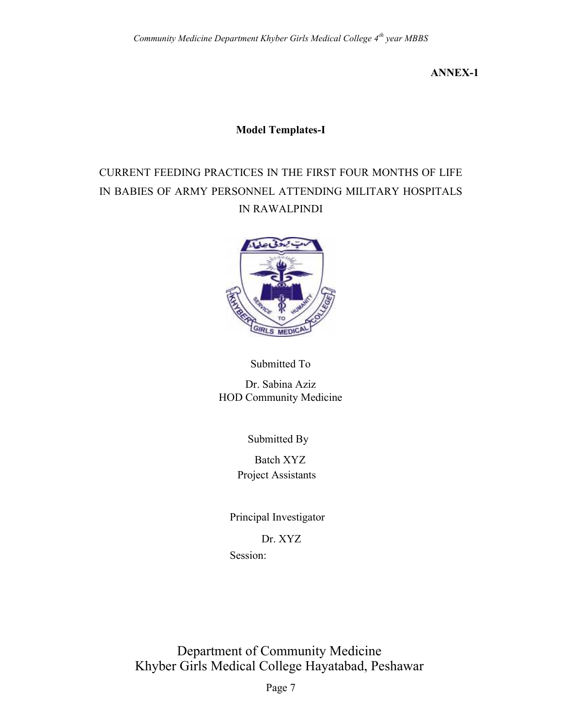**ANNEX-1**

#### **Model Templates-I**

### IN BABIES OF ARMY PERSONNEL ATTENDING MILITARY HOSPITALS IN RAWALPINDI CURRENT FEEDING PRACTICES IN THE FIRST FOUR MONTHS OF LIFE



#### Submitted To

Dr. Sabina Aziz HOD Community Medicine

Submitted By

Batch XYZ Project Assistants

Principal Investigator

Dr. XYZ

Session:

Department of Community Medicine Khyber Girls Medical College Hayatabad, Peshawar

Page 7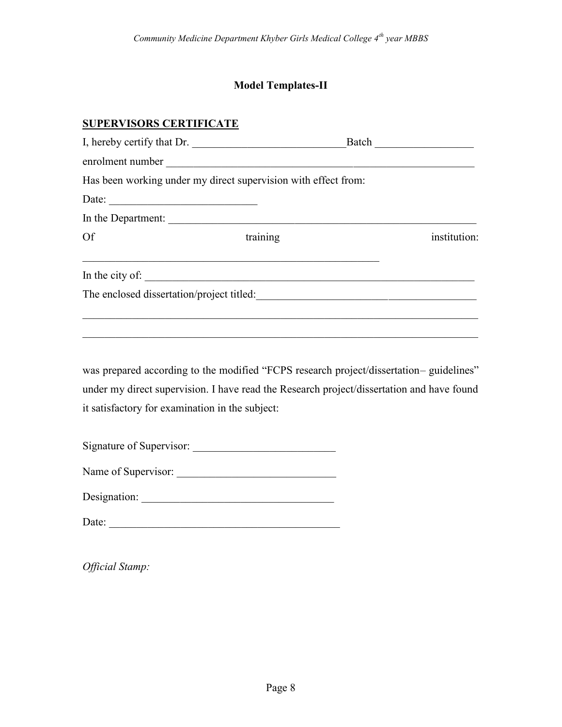#### **Model Templates-II**

#### **SUPERVISORS CERTIFICATE**

| I, hereby certify that Dr.                                     |          |              |
|----------------------------------------------------------------|----------|--------------|
|                                                                |          |              |
| Has been working under my direct supervision with effect from: |          |              |
| Date:                                                          |          |              |
| In the Department:                                             |          |              |
| Of                                                             | training | institution: |
| In the city of:                                                |          |              |
| The enclosed dissertation/project titled:                      |          |              |
|                                                                |          |              |
|                                                                |          |              |
|                                                                |          |              |

was prepared according to the modified "FCPS research project/dissertation– guidelines" under my direct supervision. I have read the Research project/dissertation and have found it satisfactory for examination in the subject:

| Signature of Supervisor: |  |
|--------------------------|--|
|                          |  |

| Name of Supervisor: |  |  |
|---------------------|--|--|
|---------------------|--|--|

| Designation: |  |  |
|--------------|--|--|
|--------------|--|--|

| Date:<br>---- |
|---------------|
|---------------|

*Official Stamp:*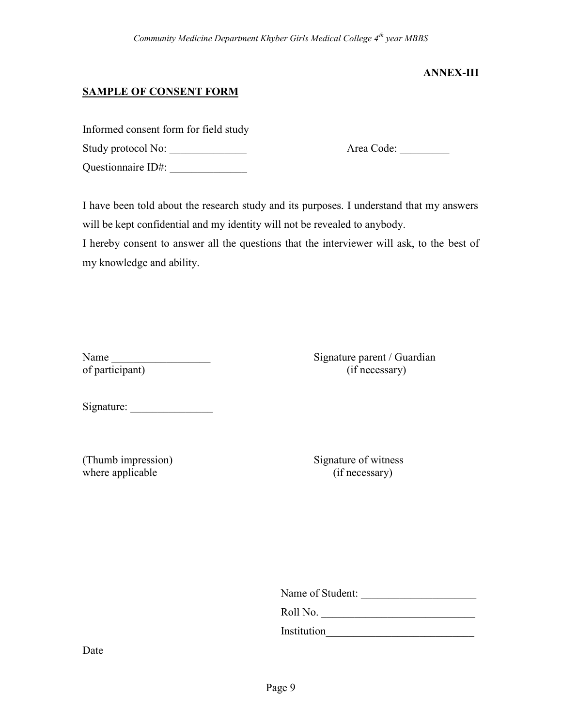#### **ANNEX-III**

#### **SAMPLE OF CONSENT FORM**

Informed consent form for field study

Study protocol No: \_\_\_\_\_\_\_\_\_\_\_\_\_\_ Area Code: \_\_\_\_\_\_\_\_\_

Questionnaire ID#: \_\_\_\_\_\_\_\_\_\_\_\_\_\_

I have been told about the research study and its purposes. I understand that my answers will be kept confidential and my identity will not be revealed to anybody.

I hereby consent to answer all the questions that the interviewer will ask, to the best of my knowledge and ability.

Name \_\_\_\_\_\_\_\_\_\_\_\_\_\_\_\_\_\_ Signature parent / Guardian of participant) (if necessary)

Signature: \_\_\_\_\_\_\_\_\_\_\_\_\_\_\_

(Thumb impression) Signature of witness where applicable (if necessary)

Name of Student: \_\_\_\_\_\_\_\_\_\_\_\_\_\_\_\_\_\_\_\_\_

Roll No. \_\_\_\_\_\_\_\_\_\_\_\_\_\_\_\_\_\_\_\_\_\_\_\_\_\_\_\_

Institution\_\_\_\_\_\_\_\_\_\_\_\_\_\_\_\_\_\_\_\_\_\_\_\_\_\_\_

Date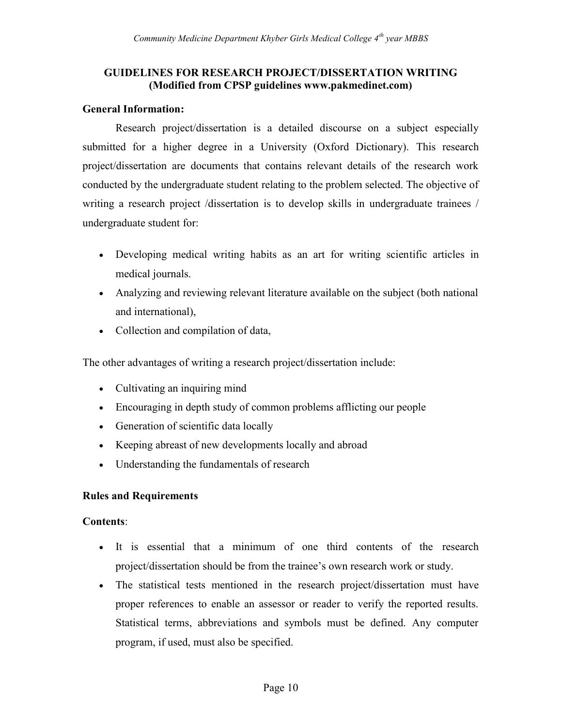#### **GUIDELINES FOR RESEARCH PROJECT/DISSERTATION WRITING (Modified from CPSP guidelines www.pakmedinet.com)**

#### **General Information:**

Research project/dissertation is a detailed discourse on a subject especially submitted for a higher degree in a University (Oxford Dictionary). This research project/dissertation are documents that contains relevant details of the research work conducted by the undergraduate student relating to the problem selected. The objective of writing a research project /dissertation is to develop skills in undergraduate trainees / undergraduate student for:

- Developing medical writing habits as an art for writing scientific articles in medical journals.
- Analyzing and reviewing relevant literature available on the subject (both national and international),
- Collection and compilation of data,

The other advantages of writing a research project/dissertation include:

- Cultivating an inquiring mind
- Encouraging in depth study of common problems afflicting our people
- Generation of scientific data locally
- Keeping abreast of new developments locally and abroad
- Understanding the fundamentals of research

#### **Rules and Requirements**

#### **Contents**:

- It is essential that a minimum of one third contents of the research project/dissertation should be from the trainee's own research work or study.
- The statistical tests mentioned in the research project/dissertation must have proper references to enable an assessor or reader to verify the reported results. Statistical terms, abbreviations and symbols must be defined. Any computer program, if used, must also be specified.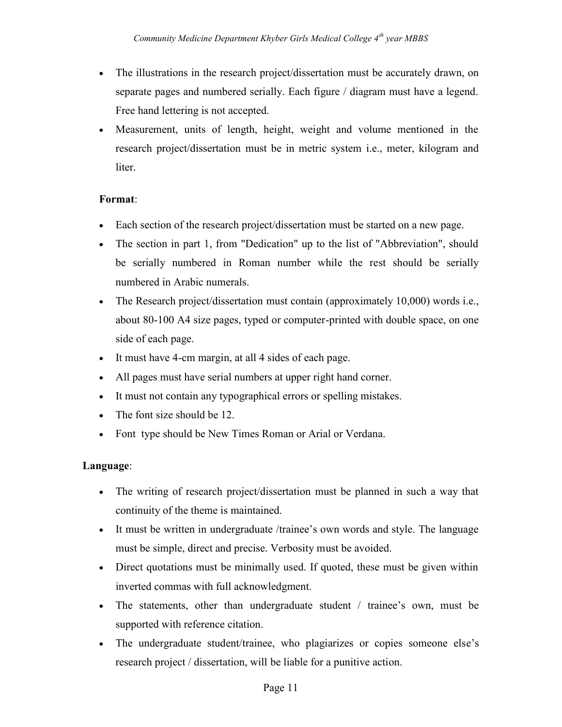- The illustrations in the research project/dissertation must be accurately drawn, on separate pages and numbered serially. Each figure / diagram must have a legend. Free hand lettering is not accepted.
- Measurement, units of length, height, weight and volume mentioned in the research project/dissertation must be in metric system i.e., meter, kilogram and liter.

#### **Format**:

- Each section of the research project/dissertation must be started on a new page.
- The section in part 1, from "Dedication" up to the list of "Abbreviation", should be serially numbered in Roman number while the rest should be serially numbered in Arabic numerals.
- The Research project/dissertation must contain (approximately 10,000) words i.e., about 80-100 A4 size pages, typed or computer-printed with double space, on one side of each page.
- It must have 4-cm margin, at all 4 sides of each page.
- All pages must have serial numbers at upper right hand corner.
- It must not contain any typographical errors or spelling mistakes.
- The font size should be 12.
- Font type should be New Times Roman or Arial or Verdana.

#### **Language**:

- The writing of research project/dissertation must be planned in such a way that continuity of the theme is maintained.
- It must be written in undergraduate /trainee's own words and style. The language must be simple, direct and precise. Verbosity must be avoided.
- Direct quotations must be minimally used. If quoted, these must be given within inverted commas with full acknowledgment.
- The statements, other than undergraduate student / trainee's own, must be supported with reference citation.
- The undergraduate student/trainee, who plagiarizes or copies someone else's research project / dissertation, will be liable for a punitive action.

#### Page 11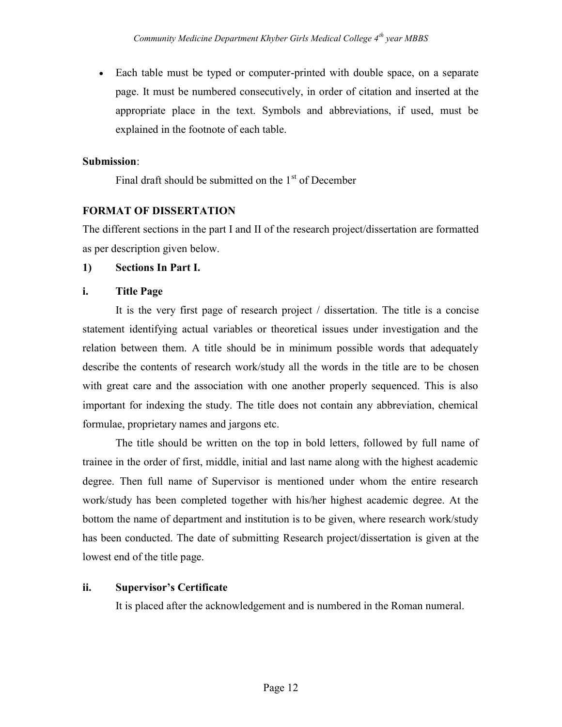Each table must be typed or computer-printed with double space, on a separate page. It must be numbered consecutively, in order of citation and inserted at the appropriate place in the text. Symbols and abbreviations, if used, must be explained in the footnote of each table.

#### **Submission**:

Final draft should be submitted on the  $1<sup>st</sup>$  of December

#### **FORMAT OF DISSERTATION**

The different sections in the part I and II of the research project/dissertation are formatted as per description given below.

#### **1) Sections In Part I.**

#### **i. Title Page**

It is the very first page of research project / dissertation. The title is a concise statement identifying actual variables or theoretical issues under investigation and the relation between them. A title should be in minimum possible words that adequately describe the contents of research work/study all the words in the title are to be chosen with great care and the association with one another properly sequenced. This is also important for indexing the study. The title does not contain any abbreviation, chemical formulae, proprietary names and jargons etc.

The title should be written on the top in bold letters, followed by full name of trainee in the order of first, middle, initial and last name along with the highest academic degree. Then full name of Supervisor is mentioned under whom the entire research work/study has been completed together with his/her highest academic degree. At the bottom the name of department and institution is to be given, where research work/study has been conducted. The date of submitting Research project/dissertation is given at the lowest end of the title page.

#### **ii. Supervisor's Certificate**

It is placed after the acknowledgement and is numbered in the Roman numeral.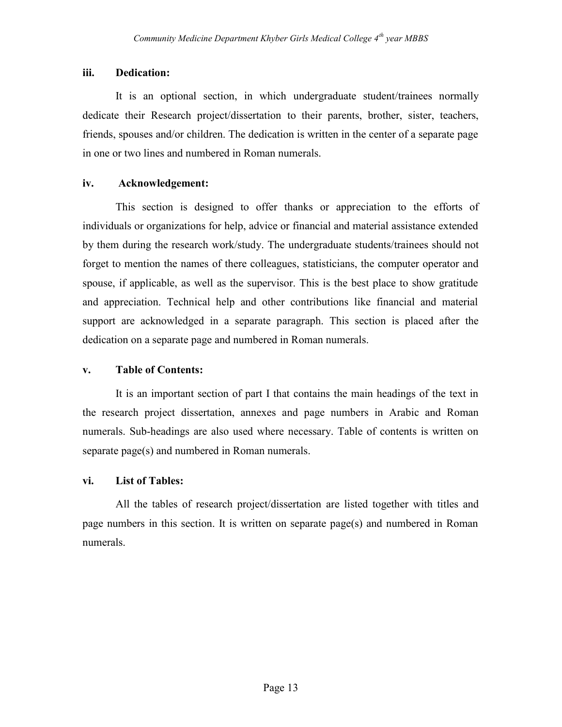#### **iii. Dedication:**

It is an optional section, in which undergraduate student/trainees normally dedicate their Research project/dissertation to their parents, brother, sister, teachers, friends, spouses and/or children. The dedication is written in the center of a separate page in one or two lines and numbered in Roman numerals.

#### **iv. Acknowledgement:**

This section is designed to offer thanks or appreciation to the efforts of individuals or organizations for help, advice or financial and material assistance extended by them during the research work/study. The undergraduate students/trainees should not forget to mention the names of there colleagues, statisticians, the computer operator and spouse, if applicable, as well as the supervisor. This is the best place to show gratitude and appreciation. Technical help and other contributions like financial and material support are acknowledged in a separate paragraph. This section is placed after the dedication on a separate page and numbered in Roman numerals.

#### **v. Table of Contents:**

It is an important section of part I that contains the main headings of the text in the research project dissertation, annexes and page numbers in Arabic and Roman numerals. Sub-headings are also used where necessary. Table of contents is written on separate page(s) and numbered in Roman numerals.

#### **vi. List of Tables:**

All the tables of research project/dissertation are listed together with titles and page numbers in this section. It is written on separate page(s) and numbered in Roman numerals.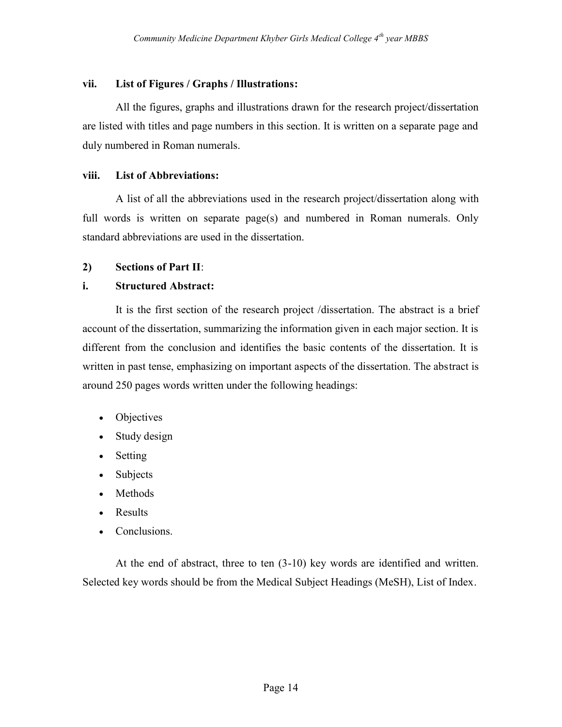#### **vii. List of Figures / Graphs / Illustrations:**

All the figures, graphs and illustrations drawn for the research project/dissertation are listed with titles and page numbers in this section. It is written on a separate page and duly numbered in Roman numerals.

#### **viii. List of Abbreviations:**

A list of all the abbreviations used in the research project/dissertation along with full words is written on separate page(s) and numbered in Roman numerals. Only standard abbreviations are used in the dissertation.

#### **2) Sections of Part II**:

#### **i. Structured Abstract:**

It is the first section of the research project /dissertation. The abstract is a brief account of the dissertation, summarizing the information given in each major section. It is different from the conclusion and identifies the basic contents of the dissertation. It is written in past tense, emphasizing on important aspects of the dissertation. The abstract is around 250 pages words written under the following headings:

- Objectives
- Study design
- Setting
- Subjects
- Methods
- Results
- Conclusions.

At the end of abstract, three to ten (3-10) key words are identified and written. Selected key words should be from the Medical Subject Headings (MeSH), List of Index.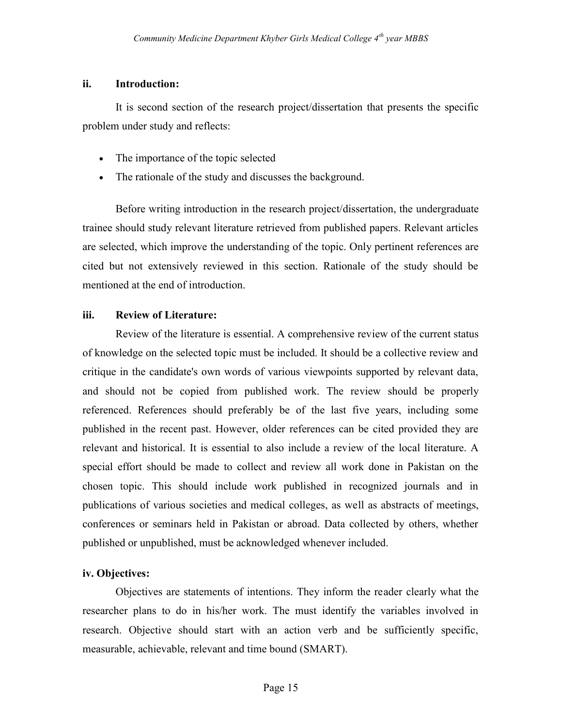#### **ii. Introduction:**

It is second section of the research project/dissertation that presents the specific problem under study and reflects:

- The importance of the topic selected
- The rationale of the study and discusses the background.

Before writing introduction in the research project/dissertation, the undergraduate trainee should study relevant literature retrieved from published papers. Relevant articles are selected, which improve the understanding of the topic. Only pertinent references are cited but not extensively reviewed in this section. Rationale of the study should be mentioned at the end of introduction.

#### **iii. Review of Literature:**

Review of the literature is essential. A comprehensive review of the current status of knowledge on the selected topic must be included. It should be a collective review and critique in the candidate's own words of various viewpoints supported by relevant data, and should not be copied from published work. The review should be properly referenced. References should preferably be of the last five years, including some published in the recent past. However, older references can be cited provided they are relevant and historical. It is essential to also include a review of the local literature. A special effort should be made to collect and review all work done in Pakistan on the chosen topic. This should include work published in recognized journals and in publications of various societies and medical colleges, as well as abstracts of meetings, conferences or seminars held in Pakistan or abroad. Data collected by others, whether published or unpublished, must be acknowledged whenever included.

#### **iv. Objectives:**

Objectives are statements of intentions. They inform the reader clearly what the researcher plans to do in his/her work. The must identify the variables involved in research. Objective should start with an action verb and be sufficiently specific, measurable, achievable, relevant and time bound (SMART).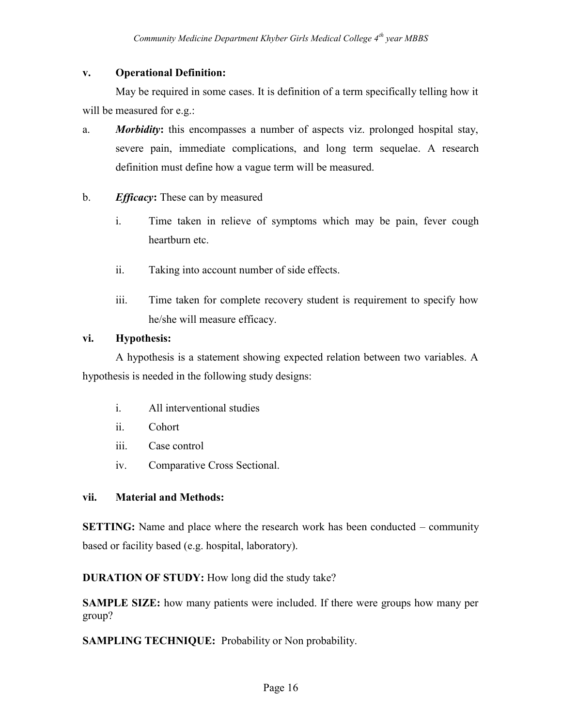#### **v. Operational Definition:**

May be required in some cases. It is definition of a term specifically telling how it will be measured for e.g.:

- a. *Morbidity***:** this encompasses a number of aspects viz. prolonged hospital stay, severe pain, immediate complications, and long term sequelae. A research definition must define how a vague term will be measured.
- b. *Efficacy***:** These can by measured
	- i. Time taken in relieve of symptoms which may be pain, fever cough heartburn etc.
	- ii. Taking into account number of side effects.
	- iii. Time taken for complete recovery student is requirement to specify how he/she will measure efficacy.

#### **vi. Hypothesis:**

A hypothesis is a statement showing expected relation between two variables. A hypothesis is needed in the following study designs:

- i. All interventional studies
- ii. Cohort
- iii. Case control
- iv. Comparative Cross Sectional.

#### **vii. Material and Methods:**

**SETTING:** Name and place where the research work has been conducted – community based or facility based (e.g. hospital, laboratory).

#### **DURATION OF STUDY:** How long did the study take?

**SAMPLE SIZE:** how many patients were included. If there were groups how many per group?

**SAMPLING TECHNIQUE:** Probability or Non probability.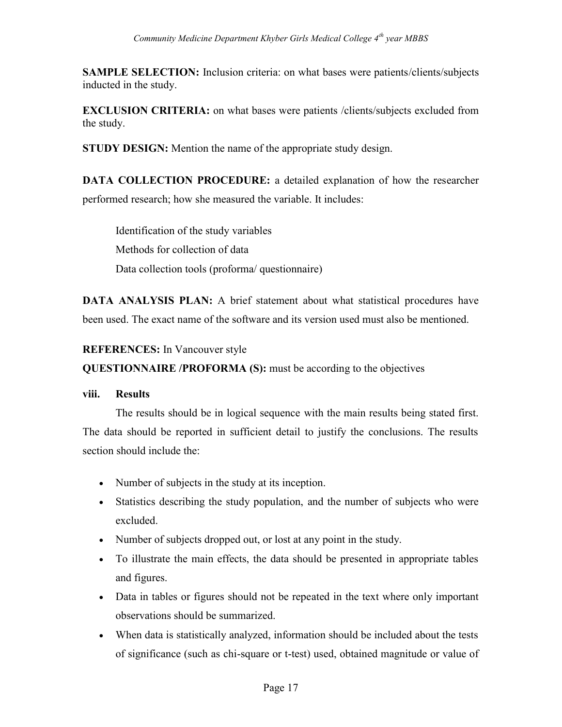**SAMPLE SELECTION:** Inclusion criteria: on what bases were patients/clients/subjects inducted in the study.

**EXCLUSION CRITERIA:** on what bases were patients /clients/subjects excluded from the study.

**STUDY DESIGN:** Mention the name of the appropriate study design.

**DATA COLLECTION PROCEDURE:** a detailed explanation of how the researcher performed research; how she measured the variable. It includes:

Identification of the study variables Methods for collection of data Data collection tools (proforma/ questionnaire)

**DATA ANALYSIS PLAN:** A brief statement about what statistical procedures have been used. The exact name of the software and its version used must also be mentioned.

#### **REFERENCES:** In Vancouver style

**QUESTIONNAIRE /PROFORMA (S):** must be according to the objectives

#### **viii. Results**

The results should be in logical sequence with the main results being stated first. The data should be reported in sufficient detail to justify the conclusions. The results section should include the:

- Number of subjects in the study at its inception.
- Statistics describing the study population, and the number of subjects who were excluded.
- Number of subjects dropped out, or lost at any point in the study.
- To illustrate the main effects, the data should be presented in appropriate tables and figures.
- Data in tables or figures should not be repeated in the text where only important observations should be summarized.
- When data is statistically analyzed, information should be included about the tests of significance (such as chi-square or t-test) used, obtained magnitude or value of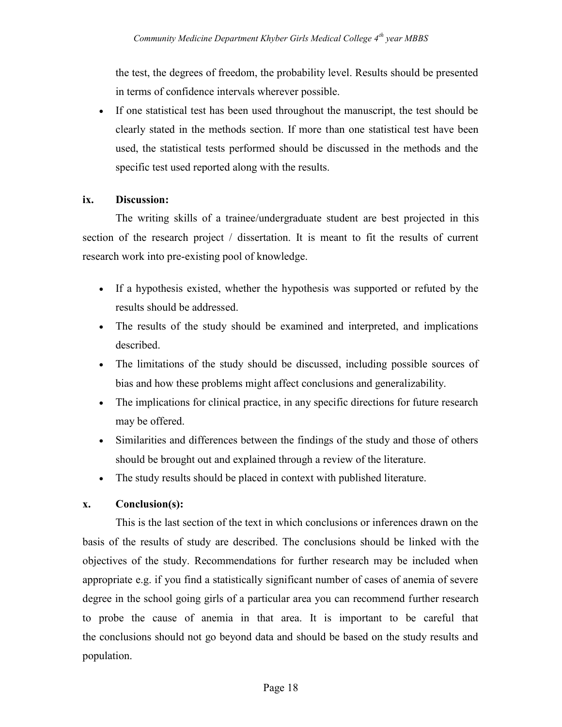the test, the degrees of freedom, the probability level. Results should be presented in terms of confidence intervals wherever possible.

 If one statistical test has been used throughout the manuscript, the test should be clearly stated in the methods section. If more than one statistical test have been used, the statistical tests performed should be discussed in the methods and the specific test used reported along with the results.

#### **ix. Discussion:**

The writing skills of a trainee/undergraduate student are best projected in this section of the research project / dissertation. It is meant to fit the results of current research work into pre-existing pool of knowledge.

- If a hypothesis existed, whether the hypothesis was supported or refuted by the results should be addressed.
- The results of the study should be examined and interpreted, and implications described.
- The limitations of the study should be discussed, including possible sources of bias and how these problems might affect conclusions and generalizability.
- The implications for clinical practice, in any specific directions for future research may be offered.
- Similarities and differences between the findings of the study and those of others should be brought out and explained through a review of the literature.
- The study results should be placed in context with published literature.

#### **x. Conclusion(s):**

This is the last section of the text in which conclusions or inferences drawn on the basis of the results of study are described. The conclusions should be linked with the objectives of the study. Recommendations for further research may be included when appropriate e.g. if you find a statistically significant number of cases of anemia of severe degree in the school going girls of a particular area you can recommend further research to probe the cause of anemia in that area. It is important to be careful that the conclusions should not go beyond data and should be based on the study results and population.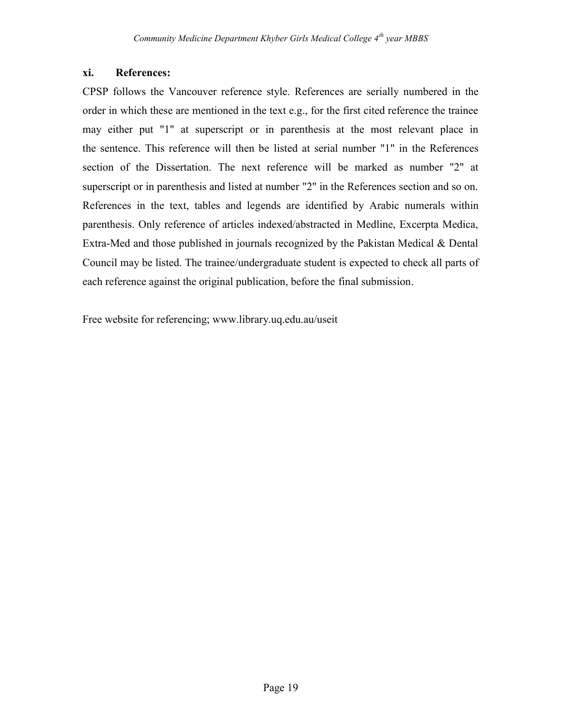#### **xi. References:**

CPSP follows the Vancouver reference style. References are serially numbered in the order in which these are mentioned in the text e.g., for the first cited reference the trainee may either put "1" at superscript or in parenthesis at the most relevant place in the sentence. This reference will then be listed at serial number "1" in the References section of the Dissertation. The next reference will be marked as number "2" at superscript or in parenthesis and listed at number "2" in the References section and so on. References in the text, tables and legends are identified by Arabic numerals within parenthesis. Only reference of articles indexed/abstracted in Medline, Excerpta Medica, Extra-Med and those published in journals recognized by the Pakistan Medical & Dental Council may be listed. The trainee/undergraduate student is expected to check all parts of each reference against the original publication, before the final submission.

Free website for referencing; www.library.uq.edu.au/useit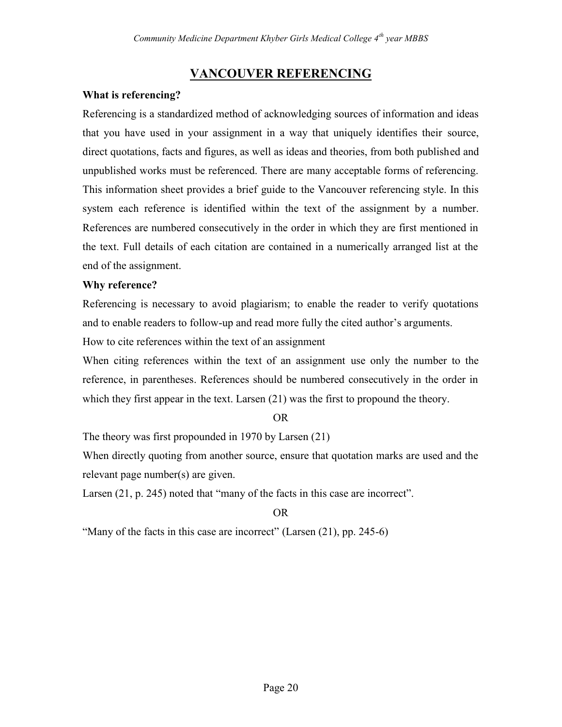#### **VANCOUVER REFERENCING**

#### **What is referencing?**

Referencing is a standardized method of acknowledging sources of information and ideas that you have used in your assignment in a way that uniquely identifies their source, direct quotations, facts and figures, as well as ideas and theories, from both published and unpublished works must be referenced. There are many acceptable forms of referencing. This information sheet provides a brief guide to the Vancouver referencing style. In this system each reference is identified within the text of the assignment by a number. References are numbered consecutively in the order in which they are first mentioned in the text. Full details of each citation are contained in a numerically arranged list at the end of the assignment.

#### **Why reference?**

Referencing is necessary to avoid plagiarism; to enable the reader to verify quotations and to enable readers to follow-up and read more fully the cited author's arguments.

How to cite references within the text of an assignment

When citing references within the text of an assignment use only the number to the reference, in parentheses. References should be numbered consecutively in the order in which they first appear in the text. Larsen (21) was the first to propound the theory.

#### OR

The theory was first propounded in 1970 by Larsen (21)

When directly quoting from another source, ensure that quotation marks are used and the relevant page number(s) are given.

Larsen (21, p. 245) noted that "many of the facts in this case are incorrect".

#### OR

"Many of the facts in this case are incorrect" (Larsen (21), pp. 245-6)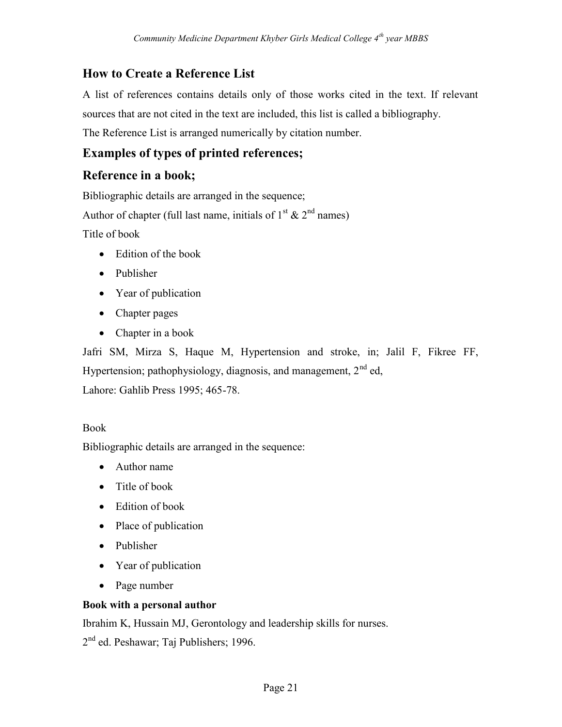#### **How to Create a Reference List**

A list of references contains details only of those works cited in the text. If relevant sources that are not cited in the text are included, this list is called a bibliography.

The Reference List is arranged numerically by citation number.

#### **Examples of types of printed references;**

#### **Reference in a book;**

Bibliographic details are arranged in the sequence; Author of chapter (full last name, initials of  $1<sup>st</sup> \& 2<sup>nd</sup>$  names)

Title of book

- Edition of the book
- Publisher
- Year of publication
- Chapter pages
- Chapter in a book

Jafri SM, Mirza S, Haque M, Hypertension and stroke, in; Jalil F, Fikree FF, Hypertension; pathophysiology, diagnosis, and management,  $2<sup>nd</sup>$  ed, Lahore: Gahlib Press 1995; 465-78.

#### Book

Bibliographic details are arranged in the sequence:

- Author name
- Title of book
- Edition of book
- Place of publication
- Publisher
- Year of publication
- Page number

#### **Book with a personal author**

Ibrahim K, Hussain MJ, Gerontology and leadership skills for nurses.

2<sup>nd</sup> ed. Peshawar; Taj Publishers; 1996.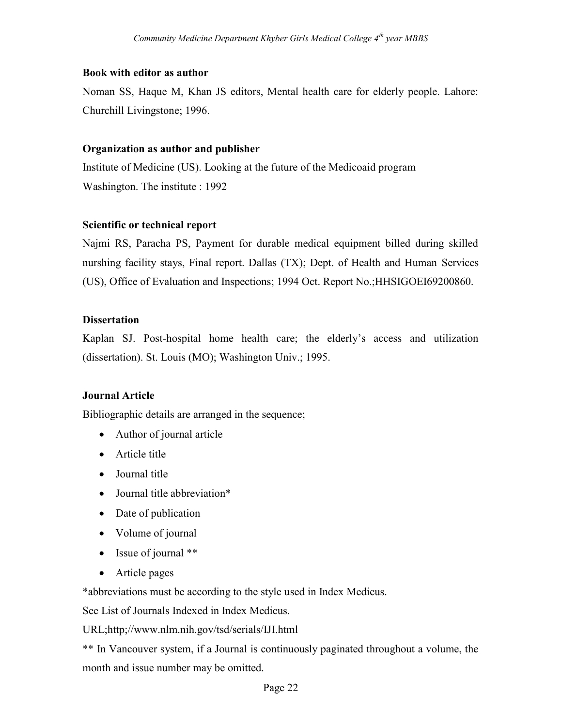#### **Book with editor as author**

Noman SS, Haque M, Khan JS editors, Mental health care for elderly people. Lahore: Churchill Livingstone; 1996.

#### **Organization as author and publisher**

Institute of Medicine (US). Looking at the future of the Medicoaid program Washington. The institute : 1992

#### **Scientific or technical report**

Najmi RS, Paracha PS, Payment for durable medical equipment billed during skilled nurshing facility stays, Final report. Dallas (TX); Dept. of Health and Human Services (US), Office of Evaluation and Inspections; 1994 Oct. Report No.;HHSIGOEI69200860.

#### **Dissertation**

Kaplan SJ. Post-hospital home health care; the elderly's access and utilization (dissertation). St. Louis (MO); Washington Univ.; 1995.

#### **Journal Article**

Bibliographic details are arranged in the sequence;

- Author of journal article
- Article title
- Journal title
- Journal title abbreviation\*
- Date of publication
- Volume of journal
- Issue of journal \*\*
- Article pages

\*abbreviations must be according to the style used in Index Medicus.

See List of Journals Indexed in Index Medicus.

URL;http;//www.nlm.nih.gov/tsd/serials/IJI.html

\*\* In Vancouver system, if a Journal is continuously paginated throughout a volume, the month and issue number may be omitted.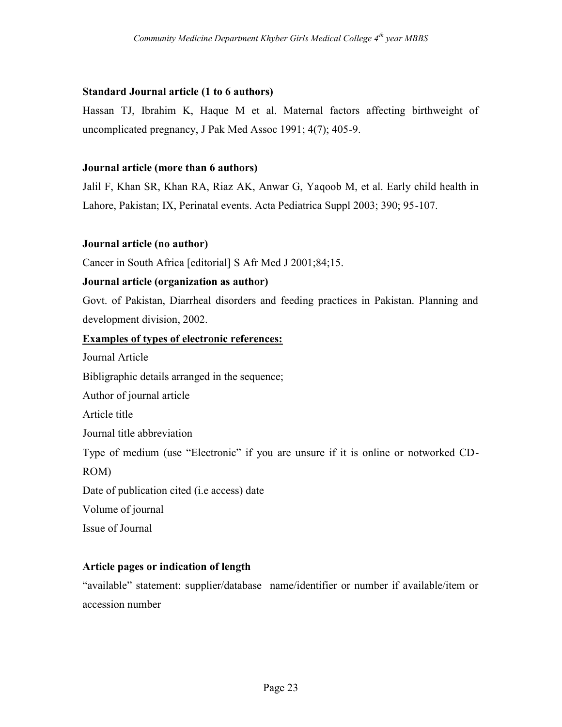#### **Standard Journal article (1 to 6 authors)**

Hassan TJ, Ibrahim K, Haque M et al. Maternal factors affecting birthweight of uncomplicated pregnancy, J Pak Med Assoc 1991; 4(7); 405-9.

#### **Journal article (more than 6 authors)**

Jalil F, Khan SR, Khan RA, Riaz AK, Anwar G, Yaqoob M, et al. Early child health in Lahore, Pakistan; IX, Perinatal events. Acta Pediatrica Suppl 2003; 390; 95-107.

#### **Journal article (no author)**

Cancer in South Africa [editorial] S Afr Med J 2001;84;15.

#### **Journal article (organization as author)**

Govt. of Pakistan, Diarrheal disorders and feeding practices in Pakistan. Planning and development division, 2002.

#### **Examples of types of electronic references:**

Journal Article Bibligraphic details arranged in the sequence; Author of journal article Article title Journal title abbreviation Type of medium (use "Electronic" if you are unsure if it is online or notworked CD- ROM) Date of publication cited (i.e access) date Volume of journal Issue of Journal

#### **Article pages or indication of length**

"available" statement: supplier/database name/identifier or number if available/item or accession number